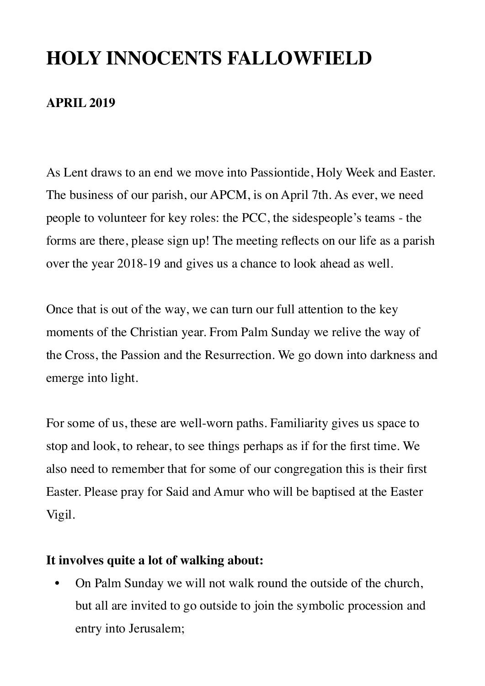## **HOLY INNOCENTS FALLOWFIELD**

#### **APRIL 2019**

As Lent draws to an end we move into Passiontide, Holy Week and Easter. The business of our parish, our APCM, is on April 7th. As ever, we need people to volunteer for key roles: the PCC, the sidespeople's teams - the forms are there, please sign up! The meeting reflects on our life as a parish over the year 2018-19 and gives us a chance to look ahead as well.

Once that is out of the way, we can turn our full attention to the key moments of the Christian year. From Palm Sunday we relive the way of the Cross, the Passion and the Resurrection. We go down into darkness and emerge into light.

For some of us, these are well-worn paths. Familiarity gives us space to stop and look, to rehear, to see things perhaps as if for the first time. We also need to remember that for some of our congregation this is their first Easter. Please pray for Said and Amur who will be baptised at the Easter Vigil.

#### **It involves quite a lot of walking about:**

• On Palm Sunday we will not walk round the outside of the church, but all are invited to go outside to join the symbolic procession and entry into Jerusalem;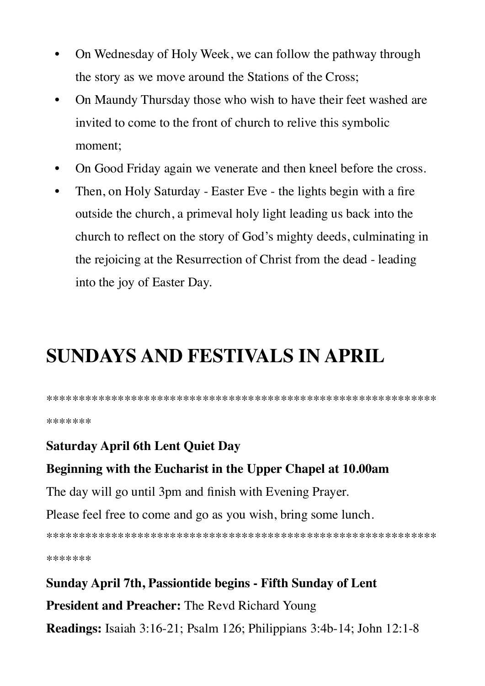- On Wednesday of Holy Week, we can follow the pathway through  $\bullet$ the story as we move around the Stations of the Cross;
- On Maundy Thursday those who wish to have their feet washed are  $\bullet$ invited to come to the front of church to relive this symbolic moment:
- On Good Friday again we venerate and then kneel before the cross.
- Then, on Holy Saturday Easter Eve the lights begin with a fire  $\bullet$ outside the church, a primeval holy light leading us back into the church to reflect on the story of God's mighty deeds, culminating in the rejoicing at the Resurrection of Christ from the dead - leading into the joy of Easter Day.

# **SUNDAYS AND FESTIVALS IN APRIL**

\*\*\*\*\*\*\*

## **Saturday April 6th Lent Quiet Day**

#### Beginning with the Eucharist in the Upper Chapel at 10.00am

The day will go until 3pm and finish with Evening Prayer.

Please feel free to come and go as you wish, bring some lunch.

\*\*\*\*\*\*\*

## Sunday April 7th, Passiontide begins - Fifth Sunday of Lent

**President and Preacher:** The Revd Richard Young

**Readings:** Isaiah 3:16-21; Psalm 126; Philippians 3:4b-14; John 12:1-8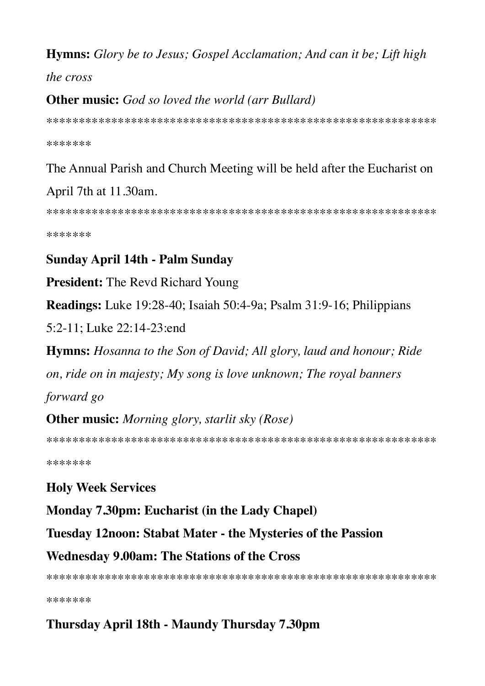#### **Hymns:** Glory be to Jesus; Gospel Acclamation; And can it be; Lift high

the cross

### **Other music:** God so loved the world (arr Bullard)

\*\*\*\*\*\*\*

## The Annual Parish and Church Meeting will be held after the Eucharist on April 7th at 11.30am.

\*\*\*\*\*\*\*

## **Sunday April 14th - Palm Sunday**

**President:** The Revd Richard Young

**Readings:** Luke 19:28-40; Isaiah 50:4-9a; Psalm 31:9-16; Philippians

5:2-11; Luke 22:14-23:end

**Hymns:** Hosanna to the Son of David; All glory, laud and honour; Ride

on, ride on in majesty; My song is love unknown; The royal banners forward go

**Other music:** Morning glory, starlit sky (Rose)

\*\*\*\*\*\*\*

## **Holy Week Services**

Monday 7.30pm: Eucharist (in the Lady Chapel)

Tuesday 12noon: Stabat Mater - the Mysteries of the Passion

#### **Wednesday 9.00am: The Stations of the Cross**

\*\*\*\*\*\*\*

## Thursday April 18th - Maundy Thursday 7.30pm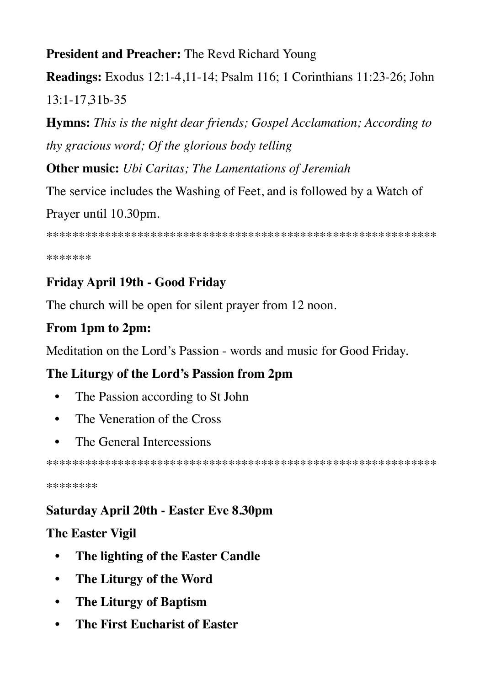## **President and Preacher: The Revd Richard Young**

**Readings:** Exodus 12:1-4,11-14; Psalm 116; 1 Corinthians 11:23-26; John 13:1-17,31b-35

**Hymns:** This is the night dear friends; Gospel Acclamation; According to thy gracious word; Of the glorious body telling

**Other music:** Ubi Caritas; The Lamentations of Jeremiah

The service includes the Washing of Feet, and is followed by a Watch of Prayer until 10.30pm.

\*\*\*\*\*\*\*

## Friday April 19th - Good Friday

The church will be open for silent prayer from 12 noon.

## From 1pm to 2pm:

Meditation on the Lord's Passion - words and music for Good Friday.

## The Liturgy of the Lord's Passion from 2pm

- The Passion according to St John  $\bullet$
- The Veneration of the Cross  $\bullet$
- The General Intercessions

\*\*\*\*\*\*\*\*

## **Saturday April 20th - Easter Eve 8.30pm**

## **The Easter Vigil**

- The lighting of the Easter Candle  $\bullet$
- The Liturgy of the Word  $\bullet$
- **The Liturgy of Baptism**  $\bullet$
- The First Eucharist of Easter